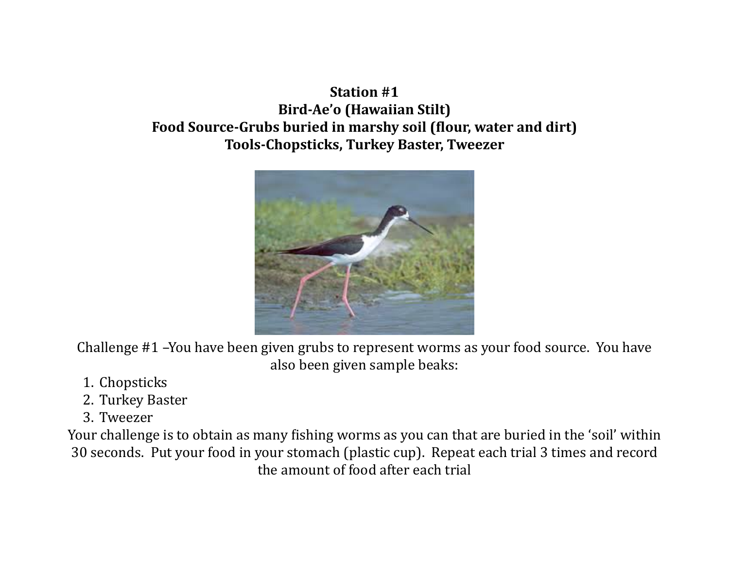## **Station #1** Bird-Ae'o (Hawaiian Stilt) Food Source-Grubs buried in marshy soil (flour, water and dirt) **Tools-Chopsticks, Turkey Baster, Tweezer**



Challenge #1 -You have been given grubs to represent worms as your food source. You have also been given sample beaks:

- 1. Chopsticks
- 2. Turkey Baster
- 3. Tweezer

Your challenge is to obtain as many fishing worms as you can that are buried in the 'soil' within 30 seconds. Put your food in your stomach (plastic cup). Repeat each trial 3 times and record the amount of food after each trial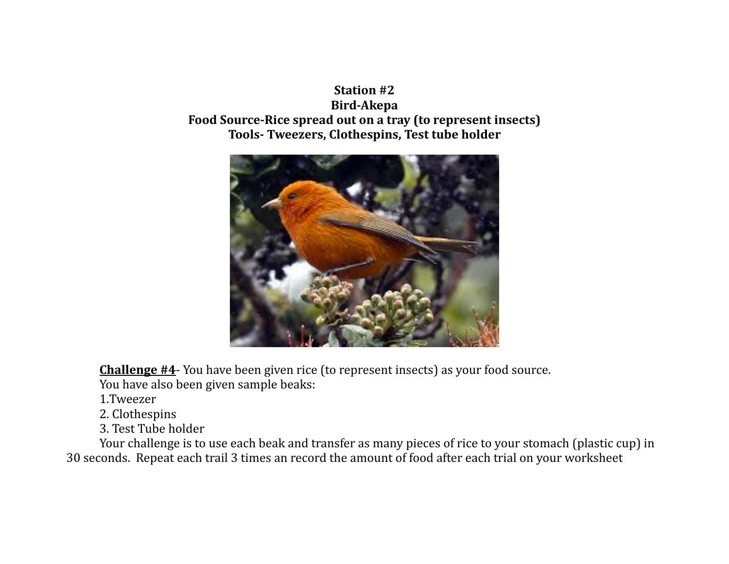## **Station #2 Bird-Akepa**  Food Source-Rice spread out on a tray (to represent insects) Tools- Tweezers, Clothespins, Test tube holder



**Challenge #4**- You have been given rice (to represent insects) as your food source.

You have also been given sample beaks:

1.Tweezer 

- 2. Clothespins
- 3. Test Tube holder

Your challenge is to use each beak and transfer as many pieces of rice to your stomach (plastic cup) in 30 seconds. Repeat each trail 3 times an record the amount of food after each trial on your worksheet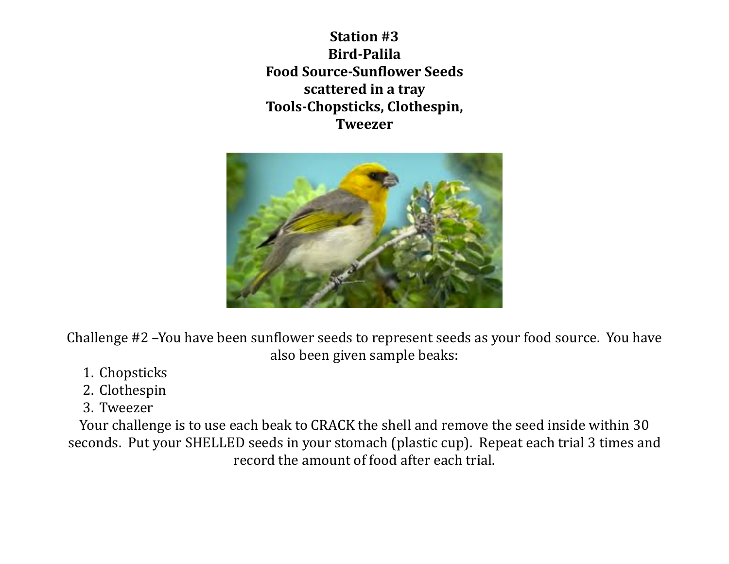**Station #3 Bird-Palila Food Source-Sunflower Seeds** scattered in a tray **Tools-Chopsticks, Clothespin, Tweezer** 



Challenge #2 -You have been sunflower seeds to represent seeds as your food source. You have also been given sample beaks:

- 1. Chopsticks
- 2. Clothespin
- 3. Tweezer

Your challenge is to use each beak to CRACK the shell and remove the seed inside within 30 seconds. Put your SHELLED seeds in your stomach (plastic cup). Repeat each trial 3 times and record the amount of food after each trial.